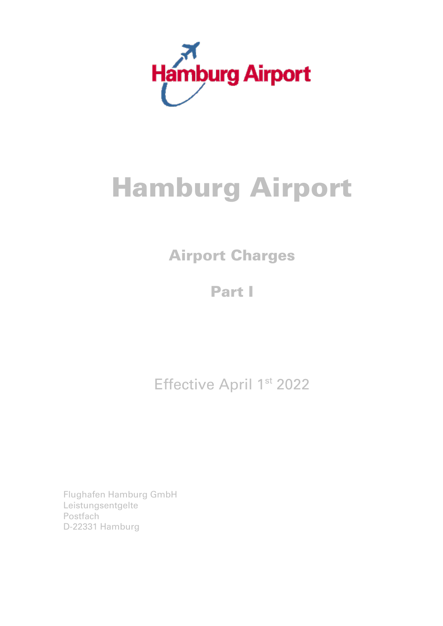

# Hamburg Airport

# Airport Charges

Part I

Effective April 1st 2022

Flughafen Hamburg GmbH Leistungsentgelte **Postfach** D-22331 Hamburg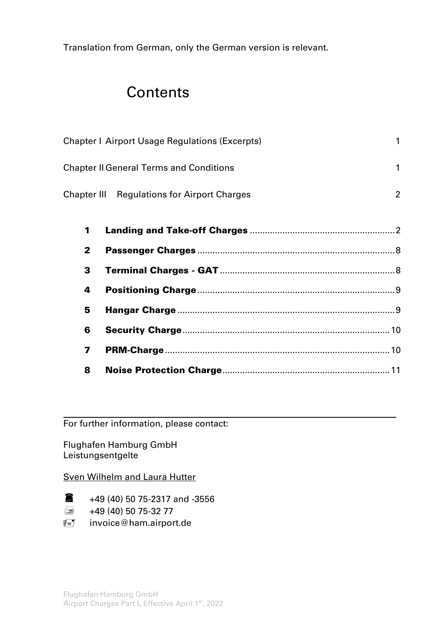Translation from German, only the German version is relevant.

## **Contents**

| <b>Chapter   Airport Usage Regulations (Excerpts)</b> |   |
|-------------------------------------------------------|---|
| <b>Chapter II General Terms and Conditions</b>        |   |
| <b>Chapter III Regulations for Airport Charges</b>    | 2 |

| $\mathbf{2}$ |  |
|--------------|--|
|              |  |
| 4            |  |
| 5            |  |
| 6            |  |
| 7            |  |
| 8            |  |

For further information, please contact:

Flughafen Hamburg GmbH Leistungsentgelte

#### Sven Wilhelm and Laura Hutter

 $\bullet$  +49 (40) 50 75-2317 and -3556

 $\implies$  +49 (40) 50 75-32 77

 $\equiv$  invoice@ham.airport.de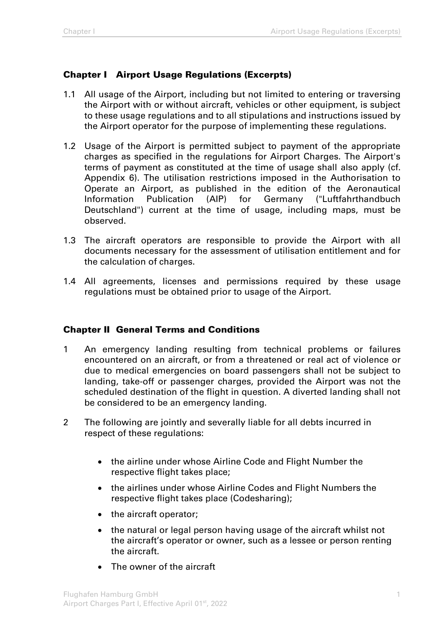## Chapter I Airport Usage Regulations (Excerpts)

- 1.1 All usage of the Airport, including but not limited to entering or traversing the Airport with or without aircraft, vehicles or other equipment, is subject to these usage regulations and to all stipulations and instructions issued by the Airport operator for the purpose of implementing these regulations.
- 1.2 Usage of the Airport is permitted subject to payment of the appropriate charges as specified in the regulations for Airport Charges. The Airport's terms of payment as constituted at the time of usage shall also apply (cf. Appendix 6). The utilisation restrictions imposed in the Authorisation to Operate an Airport, as published in the edition of the Aeronautical Information Publication (AIP) for Germany ("Luftfahrthandbuch Deutschland") current at the time of usage, including maps, must be observed.
- 1.3 The aircraft operators are responsible to provide the Airport with all documents necessary for the assessment of utilisation entitlement and for the calculation of charges.
- 1.4 All agreements, licenses and permissions required by these usage regulations must be obtained prior to usage of the Airport.

#### Chapter II General Terms and Conditions

- 1 An emergency landing resulting from technical problems or failures encountered on an aircraft, or from a threatened or real act of violence or due to medical emergencies on board passengers shall not be subject to landing, take-off or passenger charges, provided the Airport was not the scheduled destination of the flight in question. A diverted landing shall not be considered to be an emergency landing.
- 2 The following are jointly and severally liable for all debts incurred in respect of these regulations:
	- the airline under whose Airline Code and Flight Number the respective flight takes place;
	- the airlines under whose Airline Codes and Flight Numbers the respective flight takes place (Codesharing);
	- the aircraft operator;
	- the natural or legal person having usage of the aircraft whilst not the aircraft's operator or owner, such as a lessee or person renting the aircraft.
	- The owner of the aircraft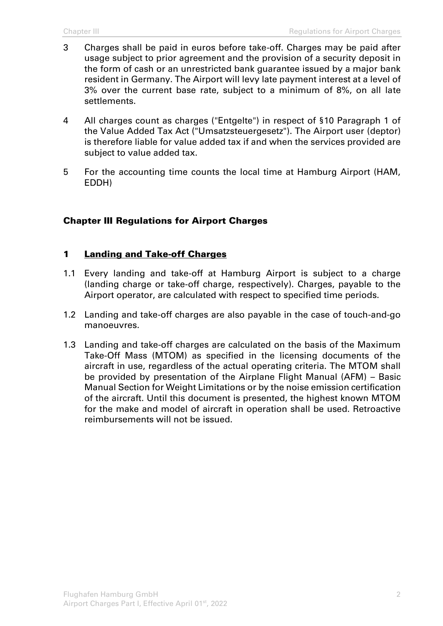- 3 Charges shall be paid in euros before take-off. Charges may be paid after usage subject to prior agreement and the provision of a security deposit in the form of cash or an unrestricted bank guarantee issued by a major bank resident in Germany. The Airport will levy late payment interest at a level of 3% over the current base rate, subject to a minimum of 8%, on all late settlements.
- 4 All charges count as charges ("Entgelte") in respect of §10 Paragraph 1 of the Value Added Tax Act ("Umsatzsteuergesetz"). The Airport user (deptor) is therefore liable for value added tax if and when the services provided are subject to value added tax.
- 5 For the accounting time counts the local time at Hamburg Airport (HAM, EDDH)

#### Chapter III Regulations for Airport Charges

#### 1 Landing and Take-off Charges

- 1.1 Every landing and take-off at Hamburg Airport is subject to a charge (landing charge or take-off charge, respectively). Charges, payable to the Airport operator, are calculated with respect to specified time periods.
- 1.2 Landing and take-off charges are also payable in the case of touch-and-go manoeuvres.
- 1.3 Landing and take-off charges are calculated on the basis of the Maximum Take-Off Mass (MTOM) as specified in the licensing documents of the aircraft in use, regardless of the actual operating criteria. The MTOM shall be provided by presentation of the Airplane Flight Manual (AFM) – Basic Manual Section for Weight Limitations or by the noise emission certification of the aircraft. Until this document is presented, the highest known MTOM for the make and model of aircraft in operation shall be used. Retroactive reimbursements will not be issued.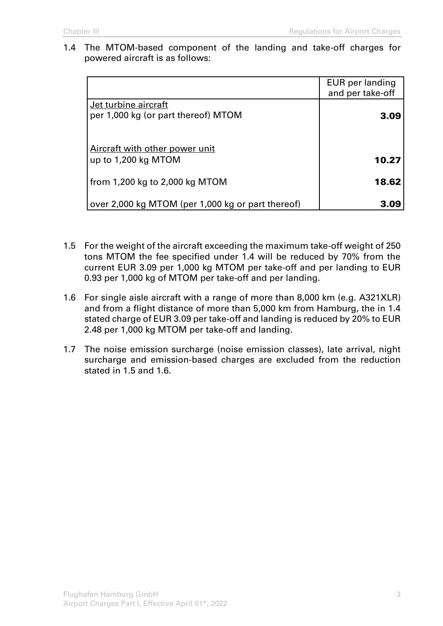1.4 The MTOM-based component of the landing and take-off charges for powered aircraft is as follows:

|                                                   | EUR per landing<br>and per take-off |
|---------------------------------------------------|-------------------------------------|
| Jet turbine aircraft                              |                                     |
| per 1,000 kg (or part thereof) MTOM               | 3.09                                |
|                                                   |                                     |
| Aircraft with other power unit                    |                                     |
| up to 1,200 kg MTOM                               | 10.27                               |
| from 1,200 kg to 2,000 kg MTOM                    | 18.62                               |
|                                                   |                                     |
| over 2,000 kg MTOM (per 1,000 kg or part thereof) |                                     |

- 1.5 For the weight of the aircraft exceeding the maximum take-off weight of 250 tons MTOM the fee specified under 1.4 will be reduced by 70% from the current EUR 3.09 per 1,000 kg MTOM per take-off and per landing to EUR 0.93 per 1,000 kg of MTOM per take-off and per landing.
- 1.6 For single aisle aircraft with a range of more than 8,000 km (e.g. A321XLR) and from a flight distance of more than 5,000 km from Hamburg, the in 1.4 stated charge of EUR 3.09 per take-off and landing is reduced by 20% to EUR 2.48 per 1,000 kg MTOM per take-off and landing.
- 1.7 The noise emission surcharge (noise emission classes), late arrival, night surcharge and emission-based charges are excluded from the reduction stated in 1.5 and 1.6.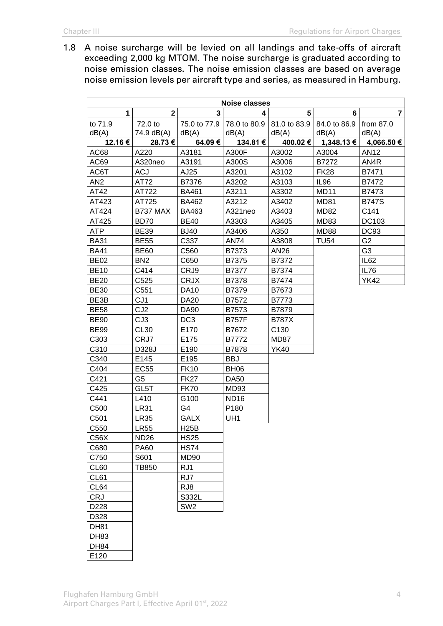1.8 A noise surcharge will be levied on all landings and take-offs of aircraft exceeding 2,000 kg MTOM. The noise surcharge is graduated according to noise emission classes. The noise emission classes are based on average noise emission levels per aircraft type and series, as measured in Hamburg.

| <b>Noise classes</b> |                       |                       |                       |                       |                       |                      |
|----------------------|-----------------------|-----------------------|-----------------------|-----------------------|-----------------------|----------------------|
| $\mathbf 1$          | $\overline{2}$        | 3                     | 4                     | 5                     | 6                     | $\overline{7}$       |
| to 71.9<br>dB(A)     | 72.0 to<br>74.9 dB(A) | 75.0 to 77.9<br>dB(A) | 78.0 to 80.9<br>dB(A) | 81.0 to 83.9<br>dB(A) | 84.0 to 86.9<br>dB(A) | from $87.0$<br>dB(A) |
| 12.16 €              | 28.73€                | 64.09€                | 134.81 €              | 400.02€               | 1,348.13 €            | 4,066.50 €           |
| AC68                 | A220                  | A3181                 | A300F                 | A3002                 | A3004                 | AN12                 |
| AC69                 | A320neo               | A3191                 | A300S                 | A3006                 | B7272                 | AN4R                 |
| AC6T                 | <b>ACJ</b>            | AJ25                  | A3201                 | A3102                 | <b>FK28</b>           | B7471                |
| AN <sub>2</sub>      | AT72                  | B7376                 | A3202                 | A3103                 | <b>IL96</b>           | B7472                |
| AT42                 | AT722                 | <b>BA461</b>          | A3211                 | A3302                 | <b>MD11</b>           | B7473                |
| AT423                | AT725                 | <b>BA462</b>          | A3212                 | A3402                 | <b>MD81</b>           | <b>B747S</b>         |
| AT424                | B737 MAX              | BA463                 | A321neo               | A3403                 | <b>MD82</b>           | C141                 |
| AT425                | <b>BD70</b>           | <b>BE40</b>           | A3303                 | A3405                 | MD83                  | DC103                |
| ATP                  | <b>BE39</b>           | <b>BJ40</b>           | A3406                 | A350                  | <b>MD88</b>           | <b>DC93</b>          |
| <b>BA31</b>          | <b>BE55</b>           | C337                  | <b>AN74</b>           | A3808                 | <b>TU54</b>           | G <sub>2</sub>       |
| <b>BA41</b>          | <b>BE60</b>           | C560                  | B7373                 | AN26                  |                       | G <sub>3</sub>       |
| <b>BE02</b>          | BN <sub>2</sub>       | C650                  | B7375                 | B7372                 |                       | IL <sub>62</sub>     |
| <b>BE10</b>          | C414                  | CRJ9                  | B7377                 | B7374                 |                       | IL76                 |
| <b>BE20</b>          | C <sub>525</sub>      | <b>CRJX</b>           | B7378                 | B7474                 |                       | <b>YK42</b>          |
| <b>BE30</b>          | C551                  | <b>DA10</b>           | B7379                 | B7673                 |                       |                      |
| BE3B                 | CJ <sub>1</sub>       | <b>DA20</b>           | B7572                 | B7773                 |                       |                      |
| <b>BE58</b>          | CJ <sub>2</sub>       | <b>DA90</b>           | B7573                 | B7879                 |                       |                      |
| <b>BE90</b>          | CJ3                   | DC <sub>3</sub>       | <b>B757F</b>          | <b>B787X</b>          |                       |                      |
| <b>BE99</b>          | <b>CL30</b>           | E170                  | B7672                 | C <sub>130</sub>      |                       |                      |
| C303                 | CRJ7                  | E175                  | B7772                 | MD87                  |                       |                      |
| C310                 | D328J                 | E190                  | B7878                 | YK40                  |                       |                      |
| C340                 | E145                  | E195                  | <b>BBJ</b>            |                       |                       |                      |
| C404                 | <b>EC55</b>           | <b>FK10</b>           | <b>BH06</b>           |                       |                       |                      |
| C421                 | G <sub>5</sub>        | <b>FK27</b>           | <b>DA50</b>           |                       |                       |                      |
| C425                 | GL5T                  | <b>FK70</b>           | MD93                  |                       |                       |                      |
| C441                 | L410                  | G100                  | <b>ND16</b>           |                       |                       |                      |
| C500                 | <b>LR31</b>           | G4                    | P180                  |                       |                       |                      |
| C501                 | <b>LR35</b>           | <b>GALX</b>           | UH1                   |                       |                       |                      |
| C550                 | <b>LR55</b>           | <b>H25B</b>           |                       |                       |                       |                      |
| C56X                 | <b>ND26</b>           | <b>HS25</b>           |                       |                       |                       |                      |
| C680                 | <b>PA60</b>           | <b>HS74</b>           |                       |                       |                       |                      |
| C750                 | S601                  | <b>MD90</b>           |                       |                       |                       |                      |
| CL60                 | <b>TB850</b>          | RJ1                   |                       |                       |                       |                      |
| CL61                 |                       | RJ7                   |                       |                       |                       |                      |
| CL64                 |                       | RJ8                   |                       |                       |                       |                      |
| CRJ                  |                       | S332L                 |                       |                       |                       |                      |
| D228                 |                       | SW <sub>2</sub>       |                       |                       |                       |                      |
| D328                 |                       |                       |                       |                       |                       |                      |
| <b>DH81</b>          |                       |                       |                       |                       |                       |                      |
| DH83                 |                       |                       |                       |                       |                       |                      |
| <b>DH84</b>          |                       |                       |                       |                       |                       |                      |
| E120                 |                       |                       |                       |                       |                       |                      |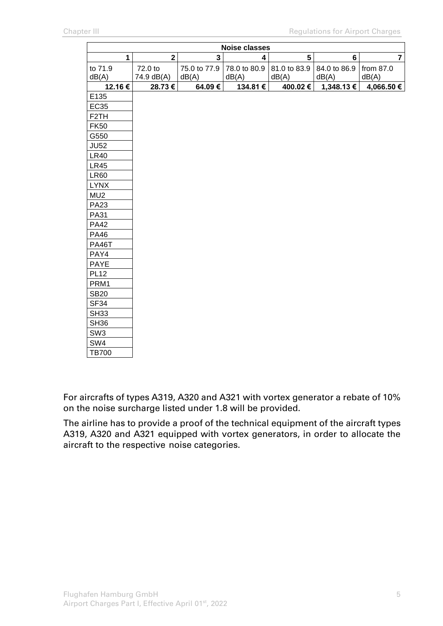| <b>Noise classes</b> |                         |              |                         |              |              |                |  |
|----------------------|-------------------------|--------------|-------------------------|--------------|--------------|----------------|--|
| $\mathbf{1}$         | $\overline{\mathbf{2}}$ | 3            | $\overline{\mathbf{4}}$ | 5            | $\bf 6$      | $\overline{7}$ |  |
| to 71.9              | 72.0 to                 | 75.0 to 77.9 | 78.0 to 80.9            | 81.0 to 83.9 | 84.0 to 86.9 | from 87.0      |  |
| dB(A)                | 74.9 dB(A)              | dB(A)        | dB(A)                   | dB(A)        | dB(A)        | dB(A)          |  |
| 12.16€               | 28.73€                  | 64.09€       | 134.81 €                | 400.02€      | 1,348.13 €   | 4,066.50 €     |  |
| E135                 |                         |              |                         |              |              |                |  |
| <b>EC35</b>          |                         |              |                         |              |              |                |  |
| F <sub>2</sub> TH    |                         |              |                         |              |              |                |  |
| <b>FK50</b>          |                         |              |                         |              |              |                |  |
| G550                 |                         |              |                         |              |              |                |  |
| <b>JU52</b>          |                         |              |                         |              |              |                |  |
| <b>LR40</b>          |                         |              |                         |              |              |                |  |
| <b>LR45</b>          |                         |              |                         |              |              |                |  |
| <b>LR60</b>          |                         |              |                         |              |              |                |  |
| <b>LYNX</b>          |                         |              |                         |              |              |                |  |
| MU <sub>2</sub>      |                         |              |                         |              |              |                |  |
| PA <sub>23</sub>     |                         |              |                         |              |              |                |  |
| PA31                 |                         |              |                         |              |              |                |  |
| <b>PA42</b>          |                         |              |                         |              |              |                |  |
| <b>PA46</b>          |                         |              |                         |              |              |                |  |
| <b>PA46T</b>         |                         |              |                         |              |              |                |  |
| PAY4                 |                         |              |                         |              |              |                |  |
| PAYE                 |                         |              |                         |              |              |                |  |
| <b>PL12</b>          |                         |              |                         |              |              |                |  |
| PRM1                 |                         |              |                         |              |              |                |  |
| <b>SB20</b>          |                         |              |                         |              |              |                |  |
| SF <sub>34</sub>     |                         |              |                         |              |              |                |  |
| <b>SH33</b>          |                         |              |                         |              |              |                |  |
| <b>SH36</b>          |                         |              |                         |              |              |                |  |
| SW <sub>3</sub>      |                         |              |                         |              |              |                |  |
| SW4                  |                         |              |                         |              |              |                |  |
| <b>TB700</b>         |                         |              |                         |              |              |                |  |

For aircrafts of types A319, A320 and A321 with vortex generator a rebate of 10% on the noise surcharge listed under 1.8 will be provided.

The airline has to provide a proof of the technical equipment of the aircraft types A319, A320 and A321 equipped with vortex generators, in order to allocate the aircraft to the respective noise categories.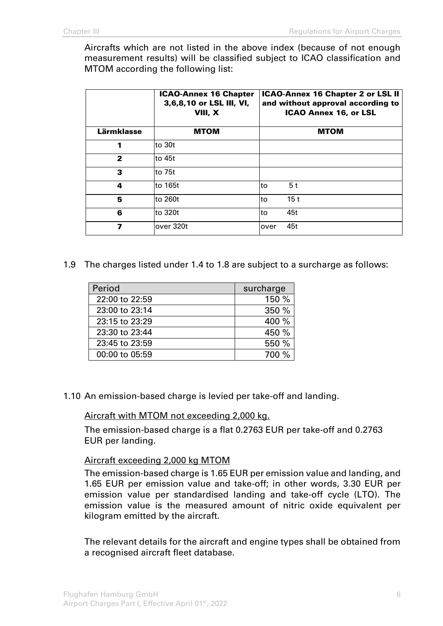Aircrafts which are not listed in the above index (because of not enough measurement results) will be classified subject to ICAO classification and MTOM according the following list:

|            | <b>ICAO-Annex 16 Chapter</b><br>3,6,8,10 or LSL III, VI,<br>VIII, X |      | <b>ICAO-Annex 16 Chapter 2 or LSL II</b><br>and without approval according to<br><b>ICAO Annex 16, or LSL</b> |
|------------|---------------------------------------------------------------------|------|---------------------------------------------------------------------------------------------------------------|
| Lärmklasse | <b>MTOM</b>                                                         |      | <b>MTOM</b>                                                                                                   |
| 1          | lto 30t                                                             |      |                                                                                                               |
| 2          | lto 45t                                                             |      |                                                                                                               |
| 3          | lto 75t                                                             |      |                                                                                                               |
| 4          | lto 165t                                                            | lto  | 5 <sub>t</sub>                                                                                                |
| 5          | lto 260t                                                            | lto  | 15 <sub>t</sub>                                                                                               |
| 6          | lto 320t                                                            | lto  | 45t                                                                                                           |
| 7          | lover 320t                                                          | over | 45t                                                                                                           |

1.9 The charges listed under 1.4 to 1.8 are subject to a surcharge as follows:

| Period         | surcharge |
|----------------|-----------|
| 22:00 to 22:59 | 150 %     |
| 23:00 to 23:14 | 350 %     |
| 23:15 to 23:29 | 400 %     |
| 23:30 to 23:44 | 450 %     |
| 23:45 to 23:59 | 550 %     |
| 00:00 to 05:59 | 700 %     |

1.10 An emission-based charge is levied per take-off and landing.

#### Aircraft with MTOM not exceeding 2,000 kg.

The emission-based charge is a flat 0.2763 EUR per take-off and 0.2763 EUR per landing.

#### Aircraft exceeding 2,000 kg MTOM

The emission-based charge is 1.65 EUR per emission value and landing, and 1.65 EUR per emission value and take-off; in other words, 3.30 EUR per emission value per standardised landing and take-off cycle (LTO). The emission value is the measured amount of nitric oxide equivalent per kilogram emitted by the aircraft.

The relevant details for the aircraft and engine types shall be obtained from a recognised aircraft fleet database.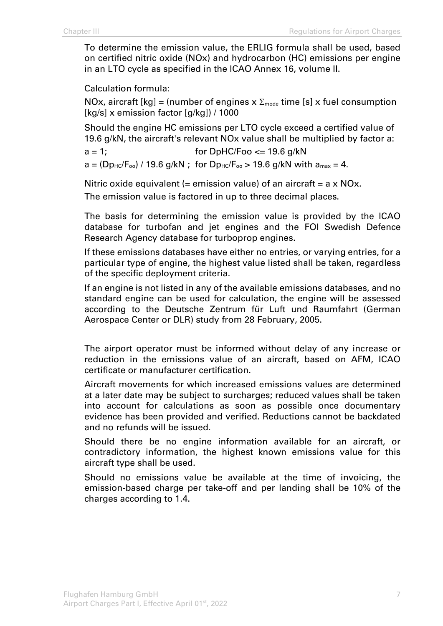To determine the emission value, the ERLIG formula shall be used, based on certified nitric oxide (NOx) and hydrocarbon (HC) emissions per engine in an LTO cycle as specified in the ICAO Annex 16, volume II.

Calculation formula:

NOx, aircraft  $[kg] = (number of engines x \Sigma_{mode} time [s] x fuel consumption)$ [kg/s] x emission factor [g/kg]) / 1000

Should the engine HC emissions per LTO cycle exceed a certified value of 19.6 g/kN, the aircraft's relevant NOx value shall be multiplied by factor a:

 $a = 1$ ; for DpHC/Foo  $\leq$  19.6 g/kN

 $a = (D_{\text{Pic}}/F_{\text{oo}}) / 19.6$  g/kN; for  $D_{\text{Pic}}/F_{\text{oo}} > 19.6$  g/kN with  $a_{\text{max}} = 4$ .

Nitric oxide equivalent (= emission value) of an aircraft =  $a \times NOx$ .

The emission value is factored in up to three decimal places.

The basis for determining the emission value is provided by the ICAO database for turbofan and jet engines and the FOI Swedish Defence Research Agency database for turboprop engines.

If these emissions databases have either no entries, or varying entries, for a particular type of engine, the highest value listed shall be taken, regardless of the specific deployment criteria.

If an engine is not listed in any of the available emissions databases, and no standard engine can be used for calculation, the engine will be assessed according to the Deutsche Zentrum für Luft und Raumfahrt (German Aerospace Center or DLR) study from 28 February, 2005.

The airport operator must be informed without delay of any increase or reduction in the emissions value of an aircraft, based on AFM, ICAO certificate or manufacturer certification.

Aircraft movements for which increased emissions values are determined at a later date may be subject to surcharges; reduced values shall be taken into account for calculations as soon as possible once documentary evidence has been provided and verified. Reductions cannot be backdated and no refunds will be issued.

Should there be no engine information available for an aircraft, or contradictory information, the highest known emissions value for this aircraft type shall be used.

Should no emissions value be available at the time of invoicing, the emission-based charge per take-off and per landing shall be 10% of the charges according to 1.4.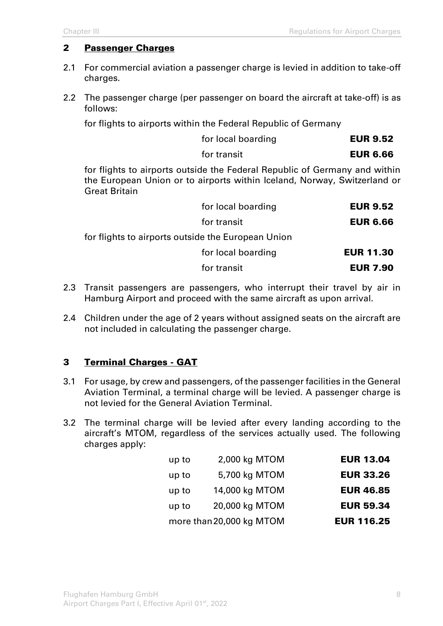#### 2 Passenger Charges

- 2.1 For commercial aviation a passenger charge is levied in addition to take-off charges.
- 2.2 The passenger charge (per passenger on board the aircraft at take-off) is as follows:

for flights to airports within the Federal Republic of Germany

| for local boarding | <b>EUR 9.52</b> |
|--------------------|-----------------|
| for transit        | <b>EUR 6.66</b> |

for flights to airports outside the Federal Republic of Germany and within the European Union or to airports within Iceland, Norway, Switzerland or Great Britain

|                                                    | for local boarding | <b>EUR 9.52</b>  |
|----------------------------------------------------|--------------------|------------------|
|                                                    | for transit        | <b>EUR 6.66</b>  |
| for flights to airports outside the European Union |                    |                  |
|                                                    | for local boarding | <b>EUR 11.30</b> |
|                                                    | for transit        | <b>EUR 7.90</b>  |
|                                                    |                    |                  |

- 2.3 Transit passengers are passengers, who interrupt their travel by air in Hamburg Airport and proceed with the same aircraft as upon arrival.
- 2.4 Children under the age of 2 years without assigned seats on the aircraft are not included in calculating the passenger charge.

#### 3 Terminal Charges - GAT

- 3.1 For usage, by crew and passengers, of the passenger facilities in the General Aviation Terminal, a terminal charge will be levied. A passenger charge is not levied for the General Aviation Terminal.
- 3.2 The terminal charge will be levied after every landing according to the aircraft's MTOM, regardless of the services actually used. The following charges apply:

| <b>EUR 13.04</b>  | 2,000 kg MTOM            | up to |
|-------------------|--------------------------|-------|
| <b>EUR 33.26</b>  | 5,700 kg MTOM            | up to |
| <b>EUR 46.85</b>  | 14,000 kg MTOM           | up to |
| <b>EUR 59.34</b>  | 20,000 kg MTOM           | up to |
| <b>EUR 116.25</b> | more than 20,000 kg MTOM |       |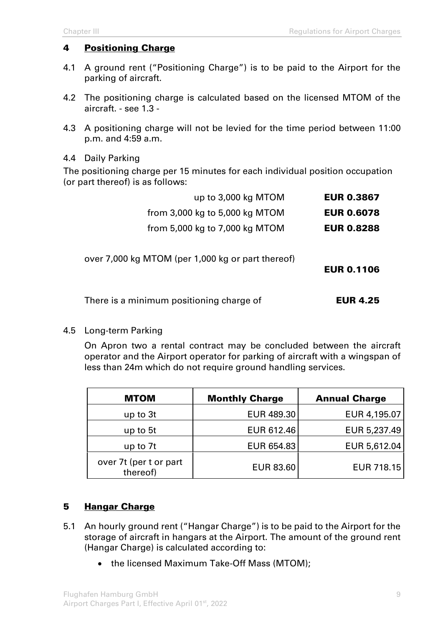#### 4 Positioning Charge

- 4.1 A ground rent ("Positioning Charge") is to be paid to the Airport for the parking of aircraft.
- 4.2 The positioning charge is calculated based on the licensed MTOM of the aircraft. - see 1.3 -
- 4.3 A positioning charge will not be levied for the time period between 11:00 p.m. and 4:59 a.m.

#### 4.4 Daily Parking

The positioning charge per 15 minutes for each individual position occupation (or part thereof) is as follows:

| up to 3,000 kg MTOM                               | <b>EUR 0.3867</b> |
|---------------------------------------------------|-------------------|
| from $3,000$ kg to $5,000$ kg MTOM                | <b>EUR 0.6078</b> |
| from 5,000 kg to 7,000 kg MTOM                    | <b>EUR 0.8288</b> |
| over 7,000 kg MTOM (per 1,000 kg or part thereof) | <b>EUR 0.1106</b> |
| There is a minimum positioning charge of          | <b>EUR 4.25</b>   |

#### 4.5 Long-term Parking

On Apron two a rental contract may be concluded between the aircraft operator and the Airport operator for parking of aircraft with a wingspan of less than 24m which do not require ground handling services.

| <b>MTOM</b>                        | <b>Monthly Charge</b> | <b>Annual Charge</b> |
|------------------------------------|-----------------------|----------------------|
| up to 3t                           | EUR 489.30            | EUR 4,195.07         |
| up to 5t                           | EUR 612.46            | EUR 5,237.49         |
| up to 7t                           | EUR 654.83            | EUR 5,612.04         |
| over 7t (per t or part<br>thereof) | <b>EUR 83.60</b>      | EUR 718.15           |

## 5 Hangar Charge

- 5.1 An hourly ground rent ("Hangar Charge") is to be paid to the Airport for the storage of aircraft in hangars at the Airport. The amount of the ground rent (Hangar Charge) is calculated according to:
	- the licensed Maximum Take-Off Mass (MTOM);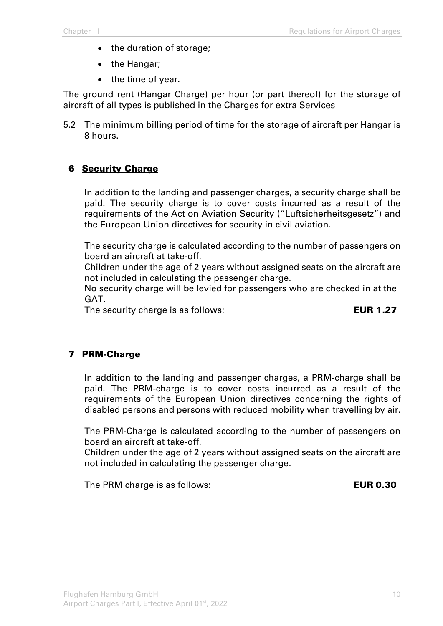- the duration of storage;
- the Hangar;
- the time of year.

The ground rent (Hangar Charge) per hour (or part thereof) for the storage of aircraft of all types is published in the Charges for extra Services

5.2 The minimum billing period of time for the storage of aircraft per Hangar is 8 hours.

#### 6 Security Charge

In addition to the landing and passenger charges, a security charge shall be paid. The security charge is to cover costs incurred as a result of the requirements of the Act on Aviation Security ("Luftsicherheitsgesetz") and the European Union directives for security in civil aviation.

The security charge is calculated according to the number of passengers on board an aircraft at take-off.

Children under the age of 2 years without assigned seats on the aircraft are not included in calculating the passenger charge.

No security charge will be levied for passengers who are checked in at the GAT.

The security charge is as follows: EUR 1.27

#### 7 PRM-Charge

In addition to the landing and passenger charges, a PRM-charge shall be paid. The PRM-charge is to cover costs incurred as a result of the requirements of the European Union directives concerning the rights of disabled persons and persons with reduced mobility when travelling by air.

The PRM-Charge is calculated according to the number of passengers on board an aircraft at take-off.

Children under the age of 2 years without assigned seats on the aircraft are not included in calculating the passenger charge.

The PRM charge is as follows: **EUR 0.30**